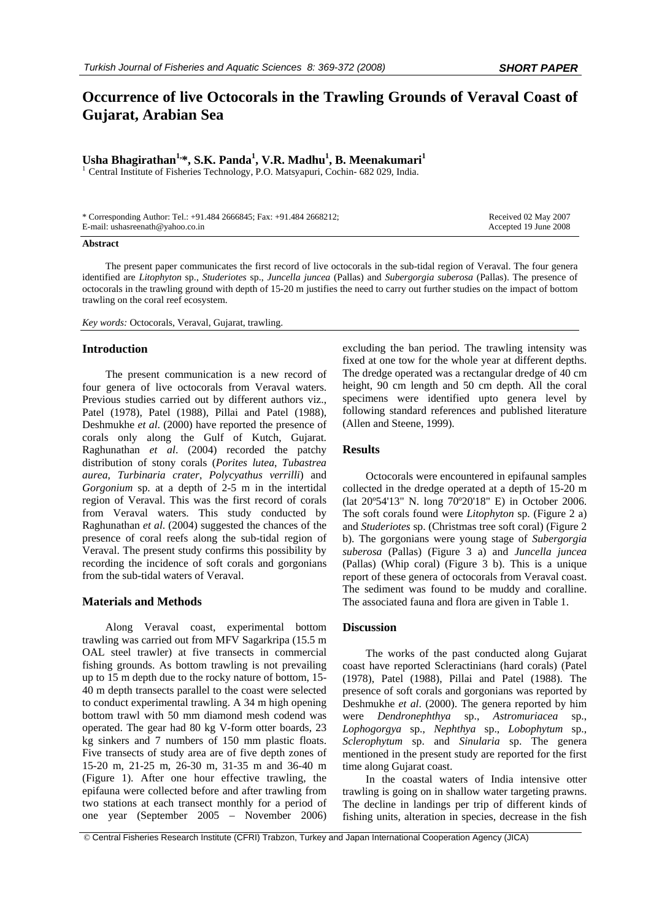# **Occurrence of live Octocorals in the Trawling Grounds of Veraval Coast of Gujarat, Arabian Sea**

# Usha Bhagirathan<sup>1,</sup>\*, S.K. Panda<sup>1</sup>, V.R. Madhu<sup>1</sup>, B. Meenakumari<sup>1</sup>

<sup>1</sup> Central Institute of Fisheries Technology, P.O. Matsyapuri, Cochin- 682 029, India.

| * Corresponding Author: Tel.: +91.484 2666845; Fax: +91.484 2668212; | Received 02 May 2007  |
|----------------------------------------------------------------------|-----------------------|
| E-mail: ushasreenath@yahoo.co.in                                     | Accepted 19 June 2008 |

#### **Abstract**

The present paper communicates the first record of live octocorals in the sub-tidal region of Veraval. The four genera identified are *Litophyton* sp., *Studeriotes* sp., *Juncella juncea* (Pallas) and *Subergorgia suberosa* (Pallas). The presence of octocorals in the trawling ground with depth of 15-20 m justifies the need to carry out further studies on the impact of bottom trawling on the coral reef ecosystem.

*Key words:* Octocorals, Veraval, Gujarat, trawling.

### **Introduction**

The present communication is a new record of four genera of live octocorals from Veraval waters. Previous studies carried out by different authors viz., Patel (1978), Patel (1988), Pillai and Patel (1988), Deshmukhe *et al*. (2000) have reported the presence of corals only along the Gulf of Kutch, Gujarat. Raghunathan *et al*. (2004) recorded the patchy distribution of stony corals (*Porites lutea*, *Tubastrea aurea*, *Turbinaria crater*, *Polycyathus verrilli*) and *Gorgonium* sp. at a depth of 2-5 m in the intertidal region of Veraval. This was the first record of corals from Veraval waters. This study conducted by Raghunathan *et al*. (2004) suggested the chances of the presence of coral reefs along the sub-tidal region of Veraval. The present study confirms this possibility by recording the incidence of soft corals and gorgonians from the sub-tidal waters of Veraval.

## **Materials and Methods**

Along Veraval coast, experimental bottom trawling was carried out from MFV Sagarkripa (15.5 m OAL steel trawler) at five transects in commercial fishing grounds. As bottom trawling is not prevailing up to 15 m depth due to the rocky nature of bottom, 15- 40 m depth transects parallel to the coast were selected to conduct experimental trawling. A 34 m high opening bottom trawl with 50 mm diamond mesh codend was operated. The gear had 80 kg V-form otter boards, 23 kg sinkers and 7 numbers of 150 mm plastic floats. Five transects of study area are of five depth zones of 15-20 m, 21-25 m, 26-30 m, 31-35 m and 36-40 m (Figure 1). After one hour effective trawling, the epifauna were collected before and after trawling from two stations at each transect monthly for a period of one year (September 2005 – November 2006)

excluding the ban period. The trawling intensity was fixed at one tow for the whole year at different depths. The dredge operated was a rectangular dredge of 40 cm height, 90 cm length and 50 cm depth. All the coral specimens were identified upto genera level by following standard references and published literature (Allen and Steene, 1999).

# **Results**

Octocorals were encountered in epifaunal samples collected in the dredge operated at a depth of 15-20 m (lat 20º54'13" N. long 70º20'18" E) in October 2006. The soft corals found were *Litophyton* sp. (Figure 2 a) and *Studeriotes* sp. (Christmas tree soft coral) (Figure 2 b). The gorgonians were young stage of *Subergorgia suberosa* (Pallas) (Figure 3 a) and *Juncella juncea* (Pallas) (Whip coral) (Figure 3 b). This is a unique report of these genera of octocorals from Veraval coast. The sediment was found to be muddy and coralline. The associated fauna and flora are given in Table 1.

# **Discussion**

The works of the past conducted along Gujarat coast have reported Scleractinians (hard corals) (Patel (1978), Patel (1988), Pillai and Patel (1988). The presence of soft corals and gorgonians was reported by Deshmukhe *et al*. (2000). The genera reported by him were *Dendronephthya* sp., *Astromuriacea* sp., *Lophogorgya* sp., *Nephthya* sp., *Lobophytum* sp., *Sclerophytum* sp. and *Sinularia* sp. The genera mentioned in the present study are reported for the first time along Gujarat coast.

In the coastal waters of India intensive otter trawling is going on in shallow water targeting prawns. The decline in landings per trip of different kinds of fishing units, alteration in species, decrease in the fish

© Central Fisheries Research Institute (CFRI) Trabzon, Turkey and Japan International Cooperation Agency (JICA)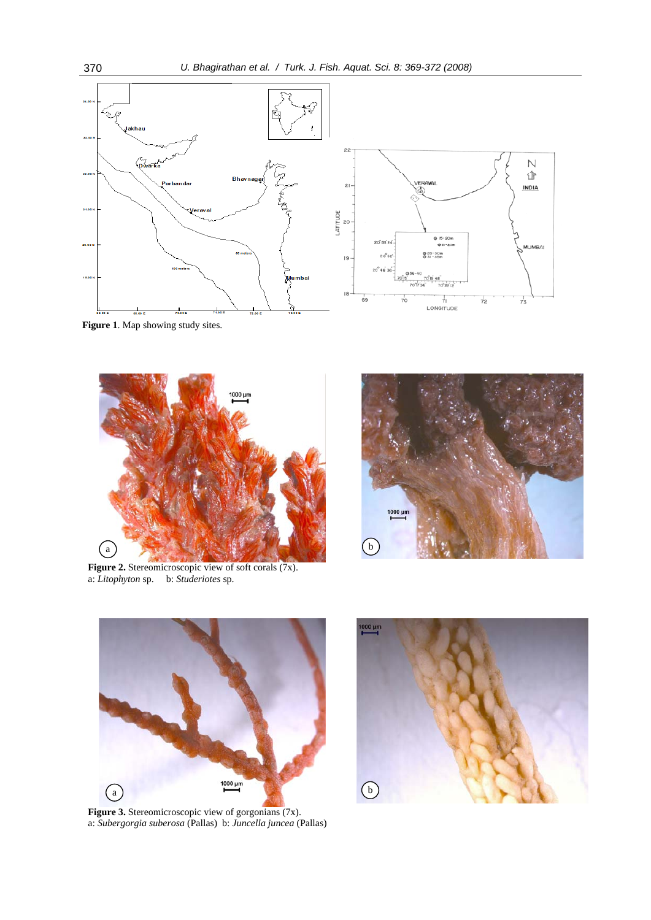

**Figure 1**. Map showing study sites.



Figure 2. Stereomicroscopic view of soft corals (7x). a: *Litophyton* sp. b: *Studeriotes* sp.





Figure 3. Stereomicroscopic view of gorgonians (7x). a: *Subergorgia suberosa* (Pallas) b: *Juncella juncea* (Pallas)

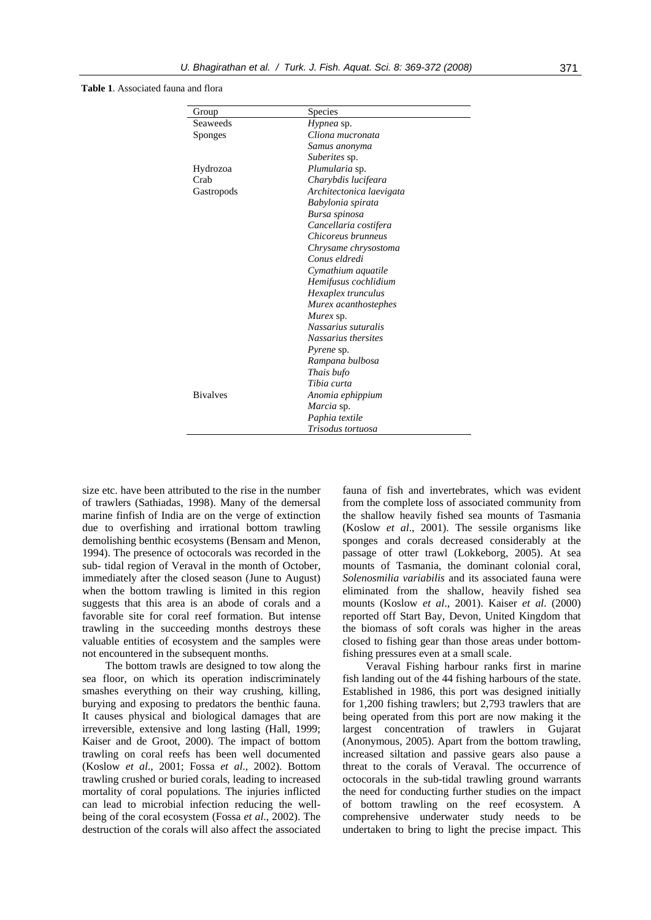### **Table 1**. Associated fauna and flora

| Group            | <b>Species</b>           |
|------------------|--------------------------|
| Seaweeds         | Hypnea sp.               |
| Sponges          | Cliona mucronata         |
|                  | Samus anonyma            |
|                  | <i>Suberites</i> sp.     |
| Hydrozoa         | Plumularia sp.           |
| C <sub>rah</sub> | Charybdis lucifeara      |
| Gastropods       | Architectonica laevigata |
|                  | Babylonia spirata        |
|                  | Bursa spinosa            |
|                  | Cancellaria costifera    |
|                  | Chicoreus brunneus       |
|                  | Chrysame chrysostoma     |
|                  | Conus eldredi            |
|                  | Cymathium aquatile       |
|                  | Hemifusus cochlidium     |
|                  | Hexaplex trunculus       |
|                  | Murex acanthostephes     |
|                  | Murex sp.                |
|                  | Nassarius suturalis      |
|                  | Nassarius thersites      |
|                  | <i>Pyrene</i> sp.        |
|                  | Rampana bulbosa          |
|                  | Thais bufo               |
|                  | Tibia curta              |
| <b>Bivalves</b>  | Anomia ephippium         |
|                  | Marcia sp.               |
|                  | Paphia textile           |
|                  | Trisodus tortuosa        |

size etc. have been attributed to the rise in the number of trawlers (Sathiadas, 1998). Many of the demersal marine finfish of India are on the verge of extinction due to overfishing and irrational bottom trawling demolishing benthic ecosystems (Bensam and Menon, 1994). The presence of octocorals was recorded in the sub- tidal region of Veraval in the month of October, immediately after the closed season (June to August) when the bottom trawling is limited in this region suggests that this area is an abode of corals and a favorable site for coral reef formation. But intense trawling in the succeeding months destroys these valuable entities of ecosystem and the samples were not encountered in the subsequent months.

The bottom trawls are designed to tow along the sea floor, on which its operation indiscriminately smashes everything on their way crushing, killing, burying and exposing to predators the benthic fauna. It causes physical and biological damages that are irreversible, extensive and long lasting (Hall, 1999; Kaiser and de Groot, 2000). The impact of bottom trawling on coral reefs has been well documented (Koslow *et al*., 2001; Fossa *et al*., 2002). Bottom trawling crushed or buried corals, leading to increased mortality of coral populations. The injuries inflicted can lead to microbial infection reducing the wellbeing of the coral ecosystem (Fossa *et al*., 2002). The destruction of the corals will also affect the associated fauna of fish and invertebrates, which was evident from the complete loss of associated community from the shallow heavily fished sea mounts of Tasmania (Koslow *et al*., 2001). The sessile organisms like sponges and corals decreased considerably at the passage of otter trawl (Lokkeborg, 2005). At sea mounts of Tasmania, the dominant colonial coral, *Solenosmilia variabilis* and its associated fauna were eliminated from the shallow, heavily fished sea mounts (Koslow *et al*., 2001). Kaiser *et al*. (2000) reported off Start Bay, Devon, United Kingdom that the biomass of soft corals was higher in the areas closed to fishing gear than those areas under bottomfishing pressures even at a small scale.

Veraval Fishing harbour ranks first in marine fish landing out of the 44 fishing harbours of the state. Established in 1986, this port was designed initially for 1,200 fishing trawlers; but 2,793 trawlers that are being operated from this port are now making it the largest concentration of trawlers in Gujarat (Anonymous, 2005). Apart from the bottom trawling, increased siltation and passive gears also pause a threat to the corals of Veraval. The occurrence of octocorals in the sub-tidal trawling ground warrants the need for conducting further studies on the impact of bottom trawling on the reef ecosystem. A comprehensive underwater study needs to be undertaken to bring to light the precise impact. This